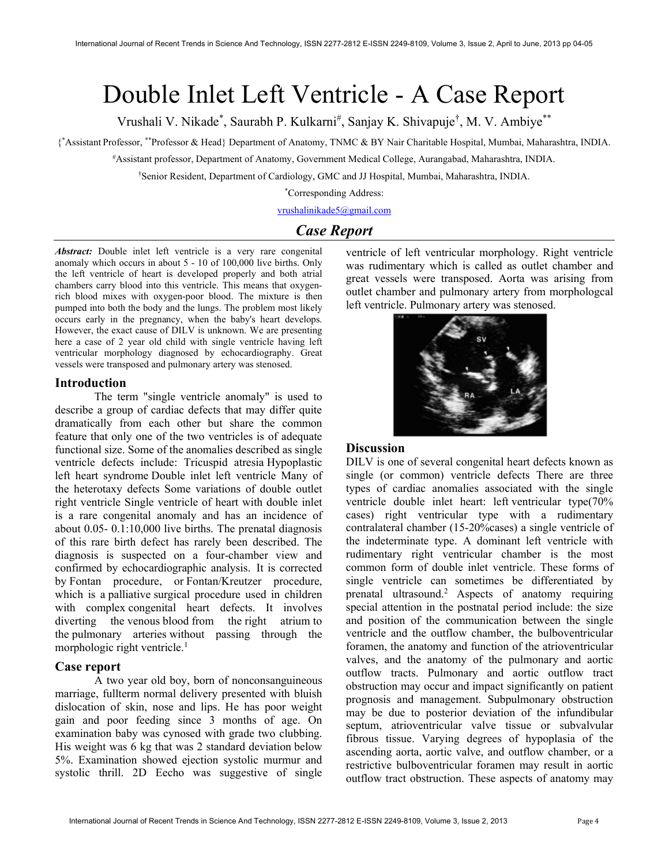# Double Inlet Left Ventricle - A Case Report

Vrushali V. Nikade\*, Saurabh P. Kulkarni<sup>#</sup>, Sanjay K. Shivapuje<sup>†</sup>, M. V. Ambiye\*\*

{ \*Assistant Professor, \*\*Professor & Head} Department of Anatomy, TNMC & BY Nair Charitable Hospital, Mumbai, Maharashtra, INDIA.

#Assistant professor, Department of Anatomy, Government Medical College, Aurangabad, Maharashtra, INDIA.

†Senior Resident, Department of Cardiology, GMC and JJ Hospital, Mumbai, Maharashtra, INDIA.

\*Corresponding Address:

vrushalinikade5@gmail.com

# Case Report

Abstract: Double inlet left ventricle is a very rare congenital anomaly which occurs in about 5 - 10 of 100,000 live births. Only the left ventricle of heart is developed properly and both atrial chambers carry blood into this ventricle. This means that oxygenrich blood mixes with oxygen-poor blood. The mixture is then pumped into both the body and the lungs. The problem most likely occurs early in the pregnancy, when the baby's heart develops. However, the exact cause of DILV is unknown. We are presenting here a case of 2 year old child with single ventricle having left ventricular morphology diagnosed by echocardiography. Great vessels were transposed and pulmonary artery was stenosed.

#### Introduction

The term "single ventricle anomaly" is used to describe a group of cardiac defects that may differ quite dramatically from each other but share the common feature that only one of the two ventricles is of adequate functional size. Some of the anomalies described as single ventricle defects include: Tricuspid atresia Hypoplastic left heart syndrome Double inlet left ventricle Many of the heterotaxy defects Some variations of double outlet right ventricle Single ventricle of heart with double inlet is a rare congenital anomaly and has an incidence of about 0.05- 0.1:10,000 live births. The prenatal diagnosis of this rare birth defect has rarely been described. The diagnosis is suspected on a four-chamber view and confirmed by echocardiographic analysis. It is corrected by Fontan procedure, or Fontan/Kreutzer procedure, which is a palliative surgical procedure used in children with complex congenital heart defects. It involves diverting the venous blood from the right atrium to the pulmonary arteries without passing through the morphologic right ventricle. $<sup>1</sup>$ </sup>

## Case report

A two year old boy, born of nonconsanguineous marriage, fullterm normal delivery presented with bluish dislocation of skin, nose and lips. He has poor weight gain and poor feeding since 3 months of age. On examination baby was cynosed with grade two clubbing. His weight was 6 kg that was 2 standard deviation below 5%. Examination showed ejection systolic murmur and systolic thrill. 2D Eecho was suggestive of single

ventricle of left ventricular morphology. Right ventricle was rudimentary which is called as outlet chamber and great vessels were transposed. Aorta was arising from outlet chamber and pulmonary artery from morphologcal left ventricle. Pulmonary artery was stenosed.



#### **Discussion**

DILV is one of several congenital heart defects known as single (or common) ventricle defects There are three types of cardiac anomalies associated with the single ventricle double inlet heart: left ventricular type(70% cases) right ventricular type with a rudimentary contralateral chamber (15-20%cases) a single ventricle of the indeterminate type. A dominant left ventricle with rudimentary right ventricular chamber is the most common form of double inlet ventricle. These forms of single ventricle can sometimes be differentiated by prenatal ultrasound.<sup>2</sup> Aspects of anatomy requiring special attention in the postnatal period include: the size and position of the communication between the single ventricle and the outflow chamber, the bulboventricular foramen, the anatomy and function of the atrioventricular valves, and the anatomy of the pulmonary and aortic outflow tracts. Pulmonary and aortic outflow tract obstruction may occur and impact significantly on patient prognosis and management. Subpulmonary obstruction may be due to posterior deviation of the infundibular septum, atrioventricular valve tissue or subvalvular fibrous tissue. Varying degrees of hypoplasia of the ascending aorta, aortic valve, and outflow chamber, or a restrictive bulboventricular foramen may result in aortic outflow tract obstruction. These aspects of anatomy may